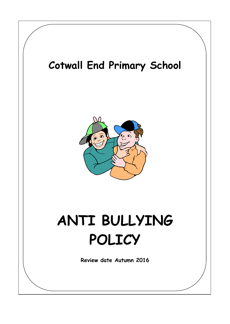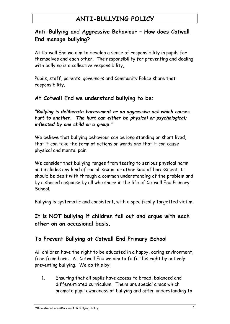## **ANTI-BULLYING POLICY**

### **Anti-Bullying and Aggressive Behaviour – How does Cotwall End manage bullying?**

At Cotwall End we aim to develop a sense of responsibility in pupils for themselves and each other. The responsibility for preventing and dealing with bullying is a collective responsibility,

Pupils, staff, parents, governors and Community Police share that responsibility.

#### **At Cotwall End we understand bullying to be:**

*"Bullying is deliberate harassment or an aggressive act which causes hurt to another. The hurt can either be physical or psychological; inflected by one child or a group."*

We believe that bullying behaviour can be long standing or short lived, that it can take the form of actions or words and that it can cause physical and mental pain.

We consider that bullying ranges from teasing to serious physical harm and includes any kind of racial, sexual or other kind of harassment. It should be dealt with through a common understanding of the problem and by a shared response by all who share in the life of Cotwall End Primary School.

Bullying is systematic and consistent, with a specifically targetted victim.

**It is NOT bullying if children fall out and argue with each other on an occasional basis.** 

### **To Prevent Bullying at Cotwall End Primary School**

All children have the right to be educated in a happy, caring environment, free from harm. At Cotwall End we aim to fulfil this right by actively preventing bullying. We do this by:

1. Ensuring that all pupils have access to broad, balanced and differentiated curriculum. There are special areas which promote pupil awareness of bullying and offer understanding to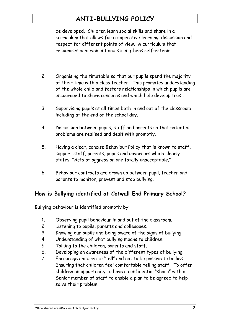# **ANTI-BULLYING POLICY**

be developed. Children learn social skills and share in a curriculum that allows for co-operative learning, discussion and respect for different points of view. A curriculum that recognises achievement and strengthens self-esteem.

- 2. Organising the timetable so that our pupils spend the majority of their time with a class teacher. This promotes understanding of the whole child and fosters relationships in which pupils are encouraged to share concerns and which help develop trust.
- 3. Supervising pupils at all times both in and out of the classroom including at the end of the school day.
- 4. Discussion between pupils, staff and parents so that potential problems are realised and dealt with promptly.
- 5. Having a clear, concise Behaviour Policy that is known to staff, support staff, parents, pupils and governors which clearly states: "Acts of aggression are totally unacceptable."
- 6. Behaviour contracts are drawn up between pupil, teacher and parents to monitor, prevent and stop bullying.

### **How is Bullying identified at Cotwall End Primary School?**

Bullying behaviour is identified promptly by:

- 1. Observing pupil behaviour in and out of the classroom.
- 2. Listening to pupils, parents and colleagues.
- 3. Knowing our pupils and being aware of the signs of bullying.
- 4. Understanding of what bullying means to children.
- 5. Talking to the children, parents and staff.
- 6. Developing an awareness of the different types of bullying.
- 7. Encourage children to "tell" and not to be passive to bullies. Ensuring that children feel comfortable telling staff. To offer children an opportunity to have a confidential "share" with a Senior member of staff to enable a plan to be agreed to help solve their problem.